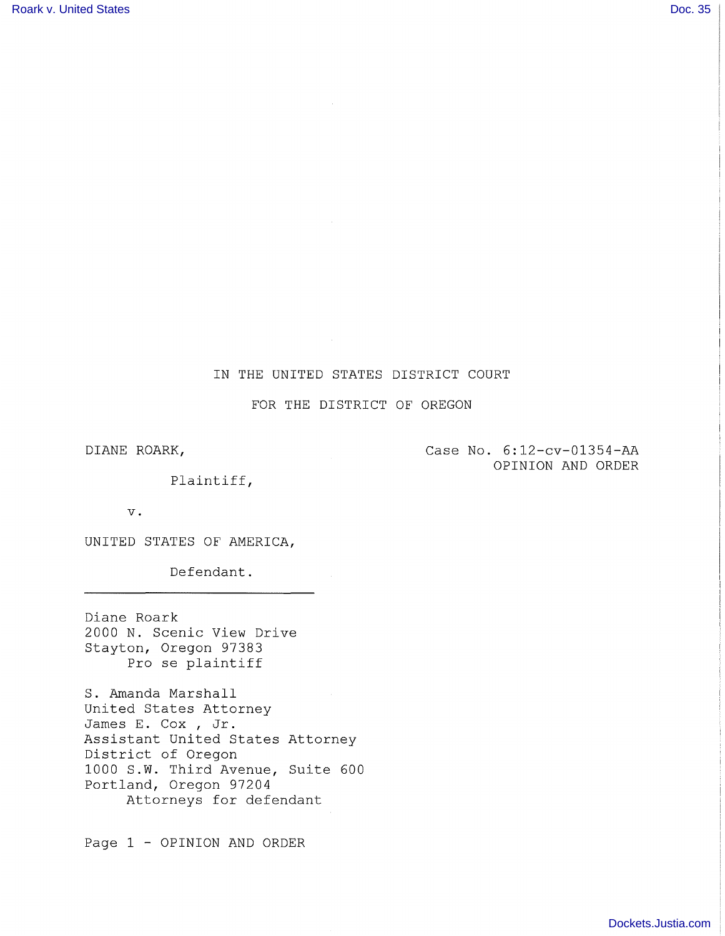# IN THE UNITED STATES DISTRICT COURT

FOR THE DISTRICT OF OREGON

DIANE ROARK,

Case No. 6:12-cv-01354-AA OPINION AND ORDER

Plaintiff,

v.

UNITED STATES OF AMERICA,

Defendant.

Diane Roark 2000 N. Scenic View Drive Stayton, Oregon 97383 Pro se plaintiff

S. Amanda Marshall United States Attorney James E. Cox , Jr. Assistant United States Attorney District of Oregon 1000 S.W. Third Avenue, Suite 600 Portland, Oregon 97204 Attorneys for defendant

Page 1 - OPINION AND ORDER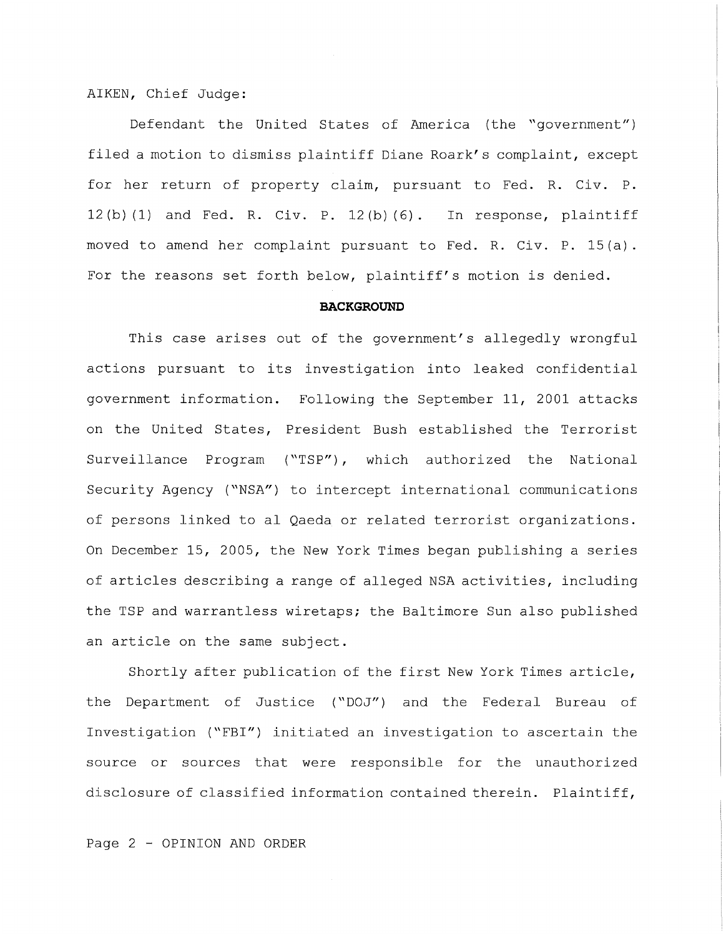## AIKEN, Chief Judge:

Defendant the United States of America (the "government") filed a motion to dismiss plaintiff Diane Roark's complaint, except for her return of property claim, pursuant to Fed. R. Civ. P.  $12(b)$  (1) and Fed. R. Civ. P.  $12(b)$  (6). In response, plaintiff moved to amend her complaint pursuant to Fed. R. Civ. P. 15(a). For the reasons set forth below, plaintiff's motion is denied.

#### **BACKGROUND**

This case arises out of the government's allegedly wrongful actions pursuant to its investigation into leaked confidential government information. Following the September 11, 2001 attacks on the United States, President Bush established the Terrorist Surveillance Program ("TSP"), which authorized the National Security Agency ("NSA") to intercept international communications of persons linked to al Qaeda or related terrorist organizations. On December 15, 2005, the New York Times began publishing a series of articles describing a range of alleged NSA activities, including the TSP and warrantless wiretaps; the Baltimore Sun also published an article on the same subject.

Shortly after publication of the first New York Times article, the Department of Justice ("DOJ") and the Federal Bureau of Investigation ("FBI") initiated an investigation to ascertain the source or sources that were responsible for the unauthorized disclosure of classified information contained therein. Plaintiff,

Page 2 - OPINION AND ORDER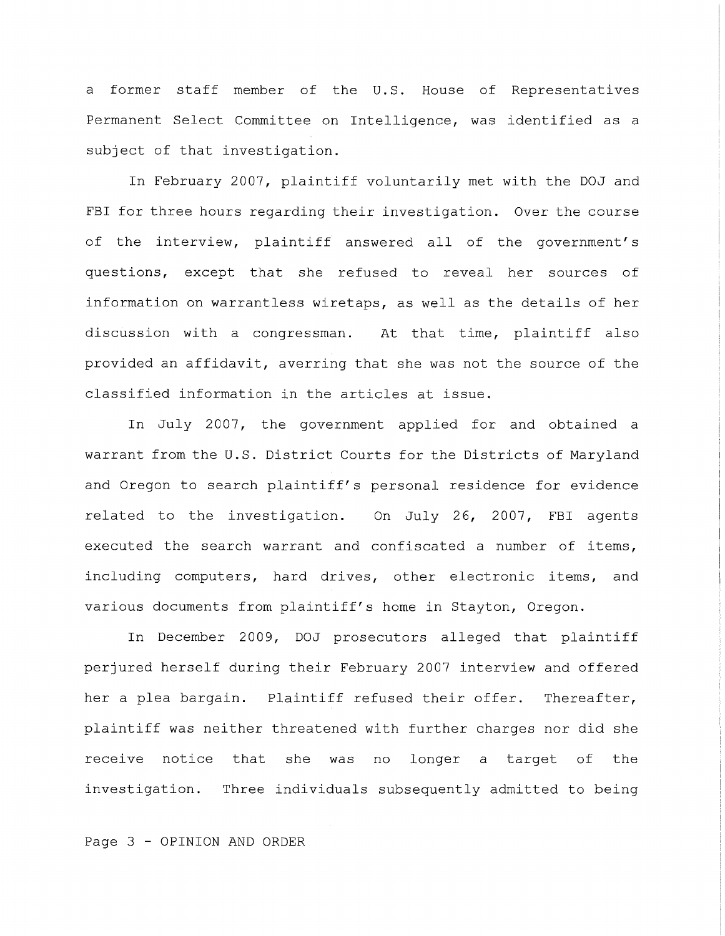a former staff member of the U.S. House of Representatives Permanent Select Committee on Intelligence, was identified as a subject of that investigation.

In February 2007, plaintiff voluntarily met with the DOJ and FBI for three hours regarding their investigation. Over the course of the interview, plaintiff answered all of the government's questions, except that she refused to reveal her sources of information on warrantless wiretaps, as well as the details of her discussion with a congressman. At that time, plaintiff also provided an affidavit, averring that she was not the source of the classified information in the articles at issue.

In July 2007, the government applied for and obtained a warrant from the U.S. District Courts for the Districts of Maryland and Oregon to search plaintiff's personal residence for evidence related to the investigation. On July 26, 2007, FBI agents executed the search warrant and confiscated a number of items, including computers, hard drives, other electronic items, and various documents from plaintiff's home in Stayton, Oregon.

In December 2009, DOJ prosecutors alleged that plaintiff perjured herself during their February 2007 interview and offered her a plea bargain. Plaintiff refused their offer. Thereafter, plaintiff was neither threatened with further charges nor did she receive notice that she was no longer a target of the investigation. Three individuals subsequently admitted to being

Page 3 - OPINION AND ORDER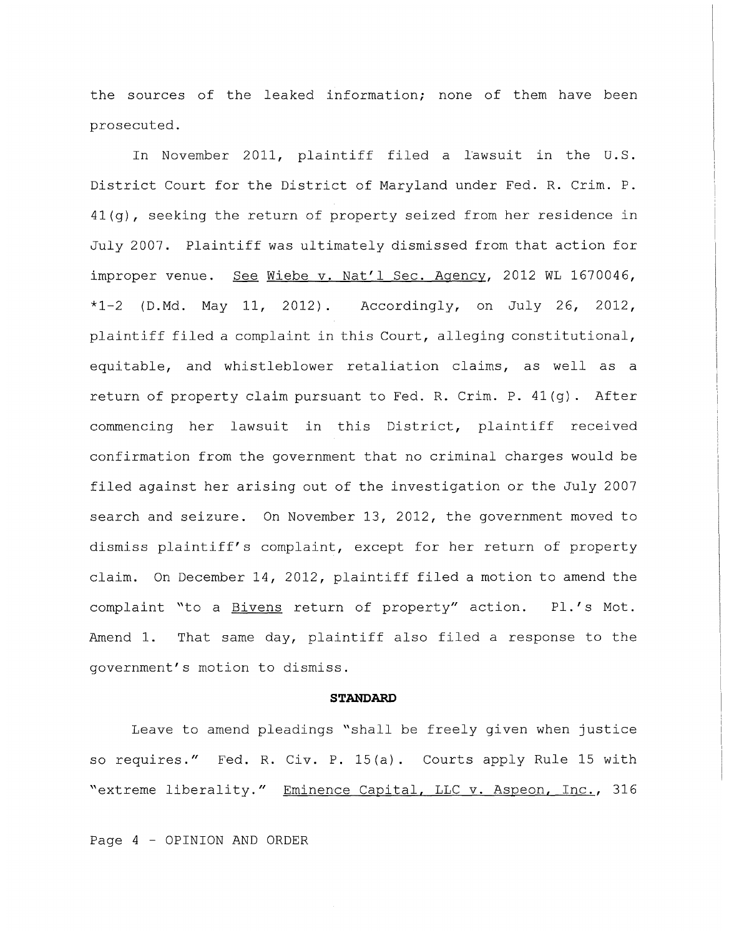the sources of the leaked information; none of them have been prosecuted.

In November 2011, plaintiff filed a lawsuit in the U.S. District Court for the District of Maryland under Fed. R. Crim. P. 41(g), seeking the return of property seized from her residence in July 2007. Plaintiff was ultimately dismissed from that action for improper venue. See Wiebe v. Nat'l Sec. Agency, 2012 WL 1670046, \*1-2 (D.Md. May 11, 2012). Accordingly, on July 26, 2012, plaintiff filed a complaint in this Court, alleging constitutional, equitable, and whistleblower retaliation claims, as well as a return of property claim pursuant to Fed. R. Crim. P. 41(g). After commencing her lawsuit in this District, plaintiff received confirmation from the government that no criminal charges would be filed against her arising out of the investigation or the July 2007 search and seizure. On November 13, 2012, the government moved to dismiss plaintiff's complaint, except for her return of property claim. On December 14, 2012, plaintiff filed a motion to amend the complaint "to a Bivens return of property" action. Pl.'s Mot. Amend 1. That same day, plaintiff also filed a response to the government's motion to dismiss.

#### **STANDARD**

Leave to amend pleadings "shall be freely given when justice so requires." Fed. R. Civ. P. 15(a). Courts apply Rule 15 with "extreme liberality." Eminence Capital, LLC v. Aspeon, Inc., 316

Page 4 - OPINION AND ORDER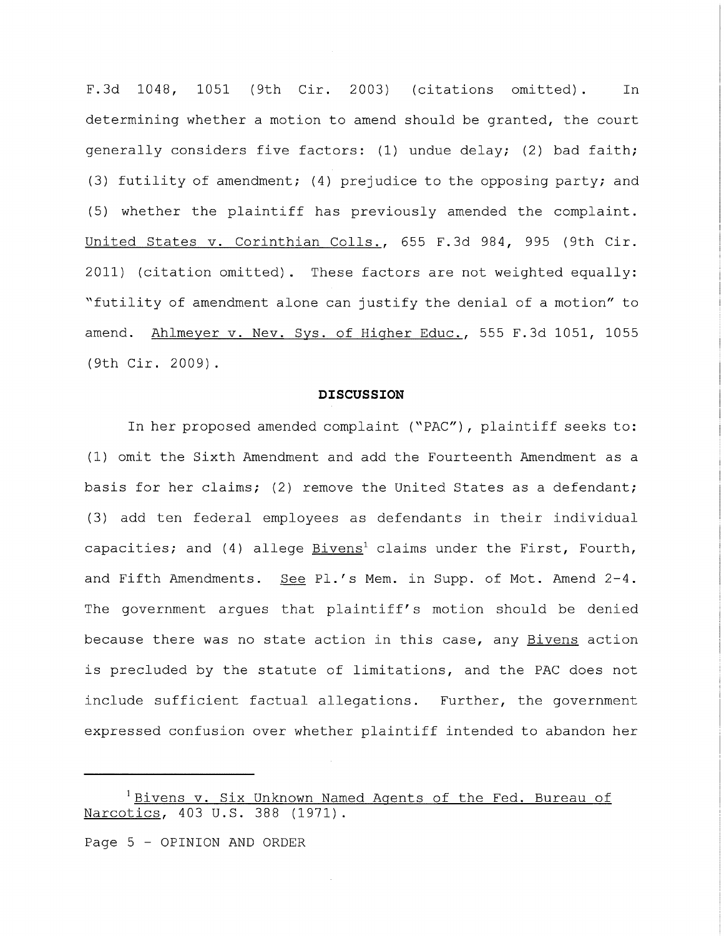F.3d 1048, 1051 (9th Cir. 2003) (citations omitted). In determining whether a motion to amend should be granted, the court generally considers five factors: (1) undue delay; (2) bad faith; (3) futility of amendment; (4) prejudice to the opposing party; and (5) whether the plaintiff has previously amended the complaint. United States v. Corinthian Colls., 655 F. 3d 984, 995 (9th Cir. 2011) (citation omitted). These factors are not weighted equally: "£utility of amendment alone can justify the denial of a motion" to amend. Ahlmeyer v. Nev. Sys. of Higher Educ., 555 F.3d 1051, 1055 (9th Cir. 2009).

#### **DISCUSSION**

In her proposed amended complaint ("PAC") , plaintiff seeks to: (1) omit the Sixth Amendment and add the Fourteenth Amendment as a basis for her claims; (2) remove the United States as a defendant; (3) add ten federal employees as defendants in their individual capacities; and (4) allege Bivens<sup>1</sup> claims under the First, Fourth, and Fifth Amendments. See Pl.'s Mem. in Supp. of Mot. Amend 2-4. The government argues that plaintiff's motion should be denied because there was no state action in this case, any Bivens action is precluded by the statute of limitations, and the PAC does not include sufficient factual allegations. Further, the government expressed confusion over whether plaintiff intended to abandon her

<sup>&</sup>lt;sup>1</sup> Bivens v. Six Unknown Named Agents of the Fed. Bureau of Narcotics, 403 U.S. 388 (1971).

Page 5 - OPINION AND ORDER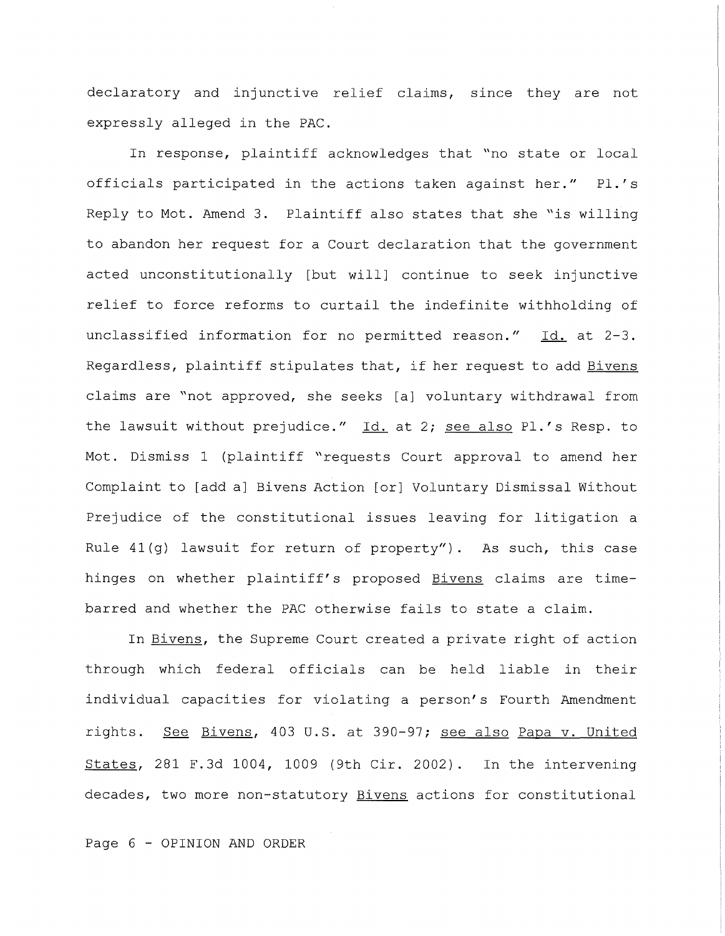declaratory and injunctive relief claims, since they are not expressly alleged in the PAC.

In response, plaintiff acknowledges that "no state or local officials participated in the actions taken against her." Pl.'s Reply to Mot. Amend 3. Plaintiff also states that she "is willing to abandon her request for a Court declaration that the government acted unconstitutionally [but will] continue to seek injunctive relief to force reforms to curtail the indefinite withholding of unclassified information for no permitted reason." Id. at 2-3. Regardless, plaintiff stipulates that, if her request to add Bivens claims are "not approved, she seeks [a] voluntary withdrawal from the lawsuit without prejudice." Id. at 2; see also Pl.'s Resp. to Mot. Dismiss 1 (plaintiff "requests Court approval to amend her Complaint to [add a] Bivens Action [or] Voluntary Dismissal Without Prejudice of the constitutional issues leaving for litigation a Rule 41(g) lawsuit for return of property"). As such, this case hinges on whether plaintiff's proposed Bivens claims are timebarred and whether the PAC otherwise fails to state a claim.

In Bivens, the Supreme Court created a private right of action through which federal officials can be held liable in their individual capacities for violating a person's Fourth Amendment rights. See Bivens, 403 U.S. at 390-97; see also Papa v. United States, 281 F.3d 1004, 1009 (9th Cir. 2002). In the intervening decades, two more non-statutory Bivens actions for constitutional

Page 6 - OPINION AND ORDER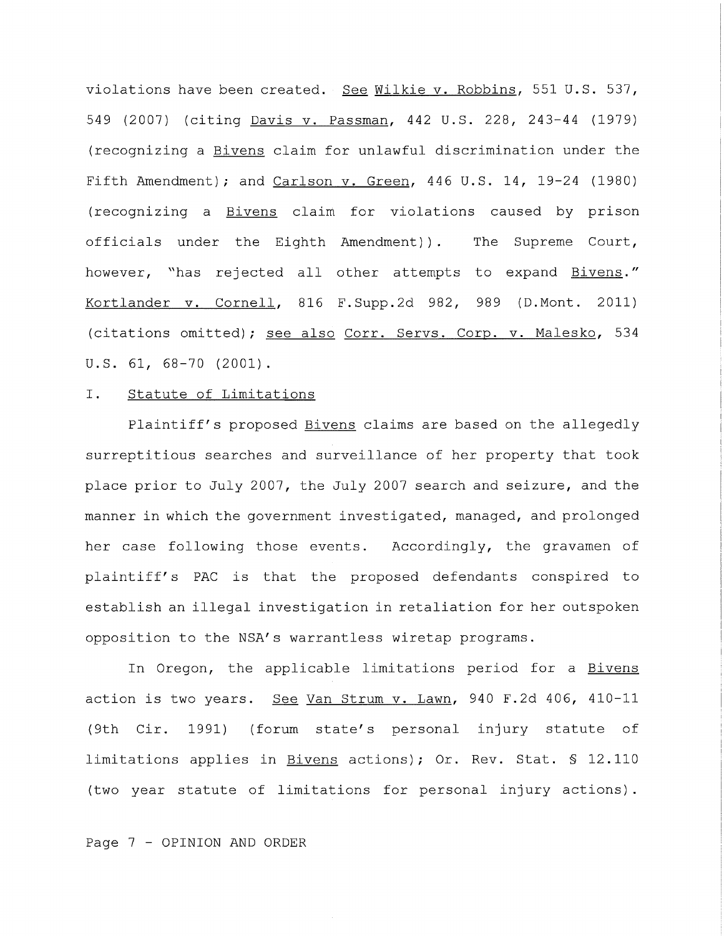violations have been created. See Wilkie v. Robbins, 551 U.S. 537, 549 (2007) (citing Davis v. Passman, 442 U.S. 228, 243-44 (1979) (recognizing a Bivens claim for unlawful discrimination under the Fifth Amendment); and Carlson v. Green, 446 U.S. 14, 19-24 (1980) (recognizing a Bivens claim for violations caused by prison officials under the Eighth Amendment)). The Supreme Court, however, "has rejected all other attempts to expand Bivens." Kortlander v. Cornell, 816 F.Supp.2d 982, 989 (D.Mont. 2011) (citations omitted); see also Corr. Servs. Corp. v. Malesko, 534 u.s. 61, 68-70 (2001).

#### I. Statute of Limitations

Plaintiff's proposed Bivens claims are based on the allegedly surreptitious searches and surveillance of her property that took place prior to July 2007, the July 2007 search and seizure, and the manner in which the government investigated, managed, and prolonged her case following those events. Accordingly, the gravamen of plaintiff's PAC is that the proposed defendants conspired to establish an illegal investigation in retaliation for her outspoken opposition to the NSA's warrantless wiretap programs.

In Oregon, the applicable limitations period for a Bivens action is two years. See Van Strum v. Lawn, 940 F.2d 406, 410-11 (9th Cir. 1991) (forum state's personal injury statute of limitations applies in Bivens actions); Or. Rev. Stat. § 12.110 (two year statute of limitations for personal injury actions) .

Page 7 - OPINION AND ORDER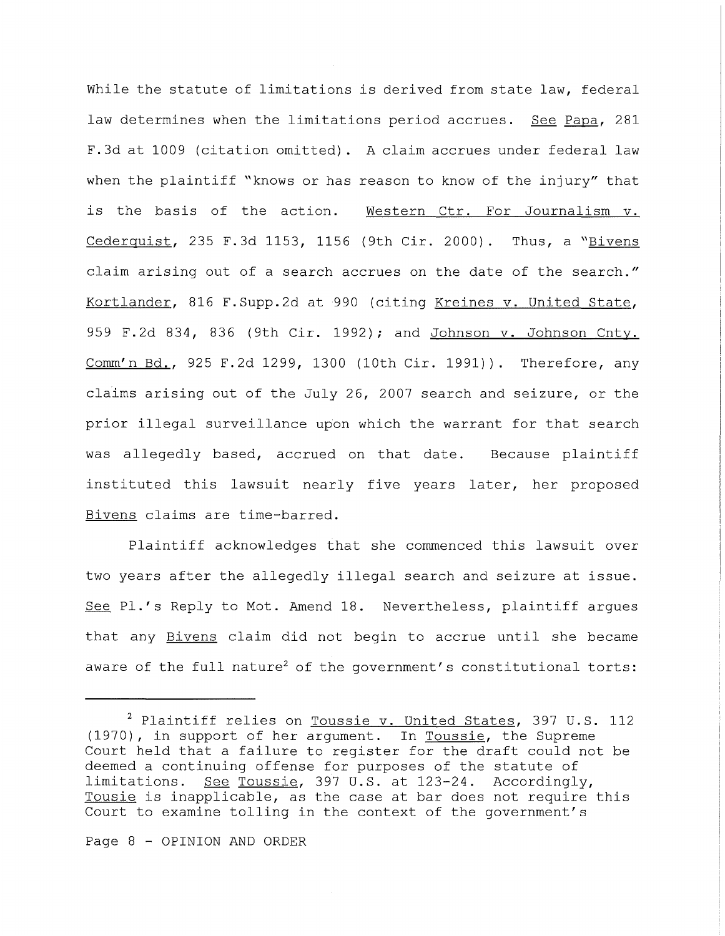While the statute of limitations is derived from state law, federal law determines when the limitations period accrues. See Papa, 281 F.3d at 1009 (citation omitted). A claim accrues under federal law when the plaintiff "knows or has reason to know of the injury" that is the basis of the action. Western Ctr. For Journalism v. Cederquist, 235 F.3d 1153, 1156 (9th Cir. 2000). Thus, a " $Bivens$ claim arising out of a search accrues on the date of the search." Kortlander, 816 F.Supp.2d at 990 (citing Kreines v. United State, 959 F.2d 834, 836 (9th Cir. 1992); and Johnson v. Johnson Cnty. Comm'n Bd., 925 F.2d 1299, 1300 (lOth Cir. 1991)). Therefore, any claims arising out of the July 26, 2007 search and seizure, or the prior illegal surveillance upon which the warrant for that search was allegedly based, accrued on that date. Because plaintiff instituted this lawsuit nearly five years later, her proposed Bivens claims are time-barred.

Plaintiff acknowledges that she commenced this lawsuit over two years after the allegedly illegal search and seizure at issue. See Pl.'s Reply to Mot. Amend 18. Nevertheless, plaintiff argues that any Bivens claim did not begin to accrue until she became aware of the full nature<sup>2</sup> of the government's constitutional torts:

<sup>&</sup>lt;sup>2</sup> Plaintiff relies on Toussie v. United States, 397 U.S. 112 (1970), in support of her argument. In Toussie, the Supreme Court held that a failure to register for the draft could not be deemed a continuing offense for purposes of the statute of limitations. See Toussie, 397 U.S. at 123-24. Accordingly, Tousie is inapplicable, as the case at bar does not require this Court to examine tolling in the context of the government's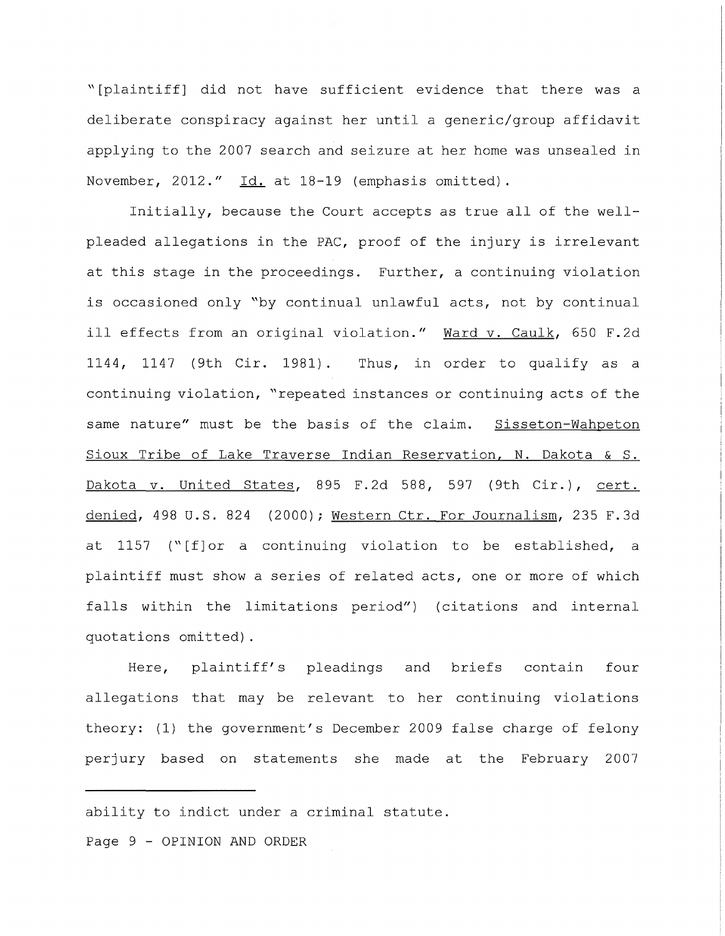"[plaintiff] did not have sufficient evidence that there was a deliberate conspiracy against her until a generic/group affidavit applying to the 2007 search and seizure at her home was unsealed in November, 2012." Id. at 18-19 (emphasis omitted).

Initially, because the Court accepts as true all of the wellpleaded allegations in the PAC, proof of the injury is irrelevant at this stage in the proceedings. Further, a continuing violation is occasioned only "by continual unlawful acts, not by continual ill effects from an original violation." Ward v. Caulk, 650 F.2d 1144, 1147 (9th Cir. 1981). Thus, in order to qualify as a continuing violation, "repeated instances or continuing acts of the same nature" must be the basis of the claim. Sisseton-Wahpeton Sioux Tribe of Lake Traverse Indian Reservation, N. Dakota & S. Dakota v. United States, 895 F.2d 588, 597 (9th Cir.), cert. denied, 498 U.S. 824 (2000); Western Ctr. For Journalism, 235 F.3d at 1157 ("[f]or a continuing violation to be established, a plaintiff must show a series of related acts, one or more of which falls within the limitations period") ( citations and internal quotations omitted).

Here, plaintiff's pleadings and allegations that may be relevant to her continuing violations briefs contain four theory: (1) the government's December 2009 false charge of felony perjury based on statements she made at the February 2007

ability to indict under a criminal statute.

Page 9 - OPINION AND ORDER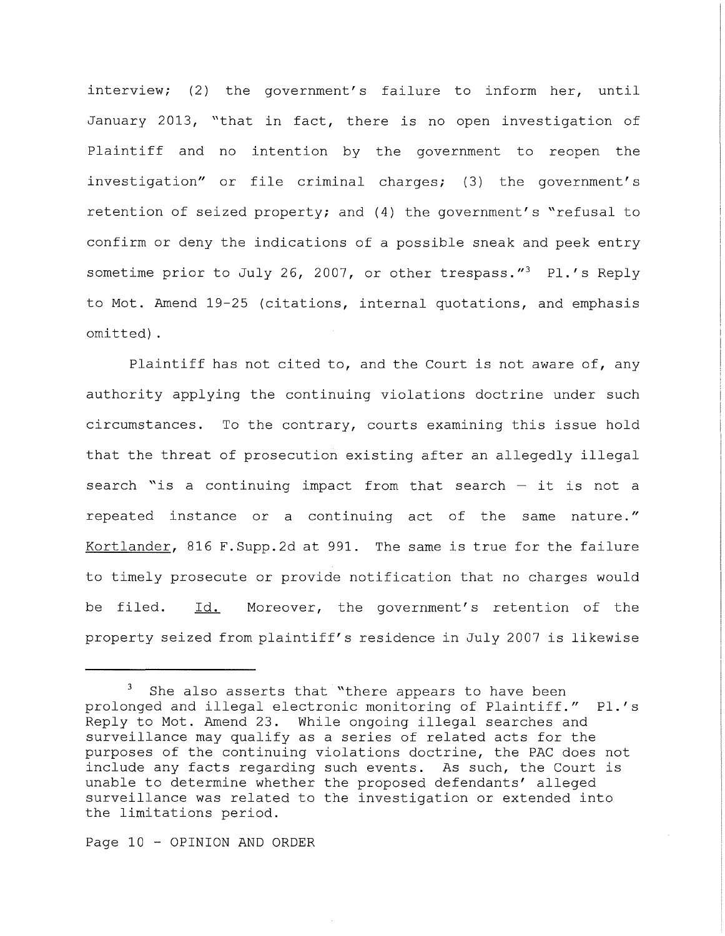interview; (2) the government's failure to inform her, until January 2013, "that in fact, there is no open investigation of Plaintiff and no intention by the government to reopen the investigation" or file criminal charges; (3) the government's retention of seized property; and (4) the government's "refusal to confirm or deny the indications of a possible sneak and peek entry sometime prior to July 26, 2007, or other trespass." $3$  Pl.'s Reply to Mot. Amend 19-25 (citations, internal quotations, and emphasis omitted) .

Plaintiff has not cited to, and the Court is not aware of, any authority applying the continuing violations doctrine under such circumstances. To the contrary, courts examining this issue hold that the threat of prosecution existing after an allegedly illegal search "is a continuing impact from that search  $-$  it is not a repeated instance or a continuing act of the same nature." Kortlander, 816 F.Supp.2d at 991. The same is true for the failure to timely prosecute or provide notification that no charges would be filed. Id. Moreover, the government's retention of the property seized from plaintiff's residence in July 2007 is likewise

Page 10 - OPINION AND ORDER

She also asserts that "there appears to have been prolonged and illegal electronic monitoring of Plaintiff." Pl.'s Reply to Mot. Amend 23. While ongoing illegal searches and surveillance may qualify as a series of related acts for the purposes of the continuing violations doctrine, the PAC does not include any facts regarding such events. As such, the Court is unable to determine whether the proposed defendants' alleged surveillance was related to the investigation or extended into the limitations period.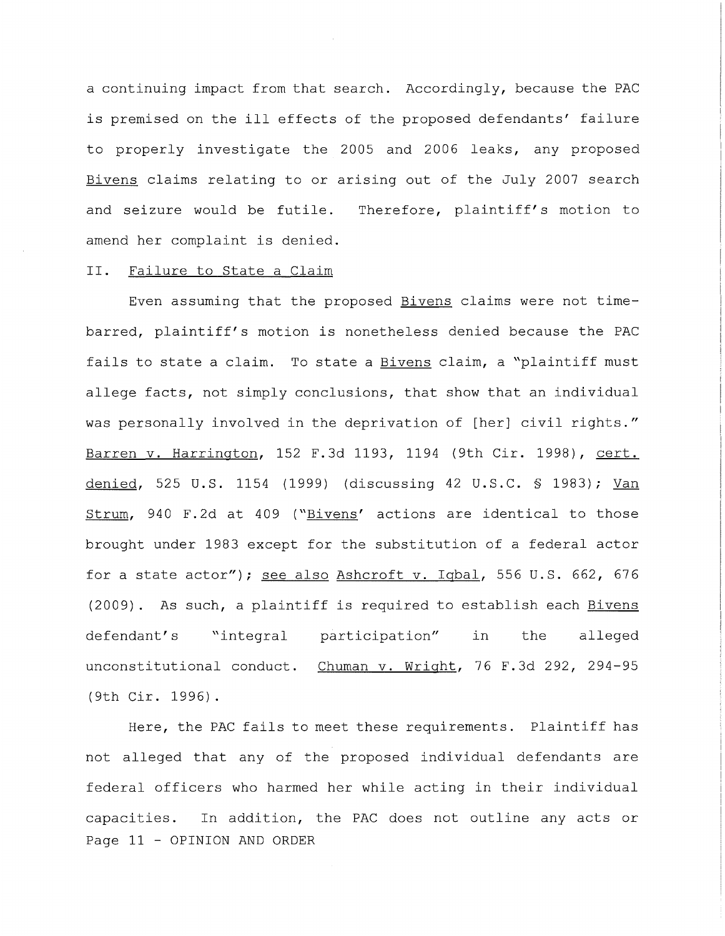a continuing impact from that search. Accordingly, because the PAC is premised on the ill effects of the proposed defendants' failure to properly investigate the 2005 and 2006 leaks, any proposed Bivens claims relating to or arising out of the July 2007 search and seizure would be futile. amend her complaint is denied. Therefore, plaintiff's motion to

### II. Failure to State a Claim

Even assuming that the proposed Bivens claims were not timebarred, plaintiff's motion is nonetheless denied because the PAC fails to state a claim. To state a Bivens claim, a "plaintiff must allege facts, not simply conclusions, that show that an individual was personally involved in the deprivation of [her] civil rights." Barren v. Harrington, 152 F.3d 1193, 1194 (9th Cir. 1998), cert. denied, 525 U.S. 1154 (1999) (discussing 42 U.S.C. § 1983); Van Strum, 940 F. 2d at 409 ("Bivens' actions are identical to those brought under 1983 except for the substitution of a federal actor for a state actor"); see also Ashcroft v. Iqbal, 556 U.S. 662, 676 (2009) . As such, a plaintiff is required to establish each Bivens defendant's "integral participation" in the alleged unconstitutional conduct. Chuman v. Wright, 76 F.3d 292, 294-95 (9th Cir. 1996).

Here, the PAC fails to meet these requirements. Plaintiff has not alleged that any of the proposed individual defendants are federal officers who harmed her while acting in their individual capacities. In addition, the PAC does not outline any acts or Page 11 - OPINION AND ORDER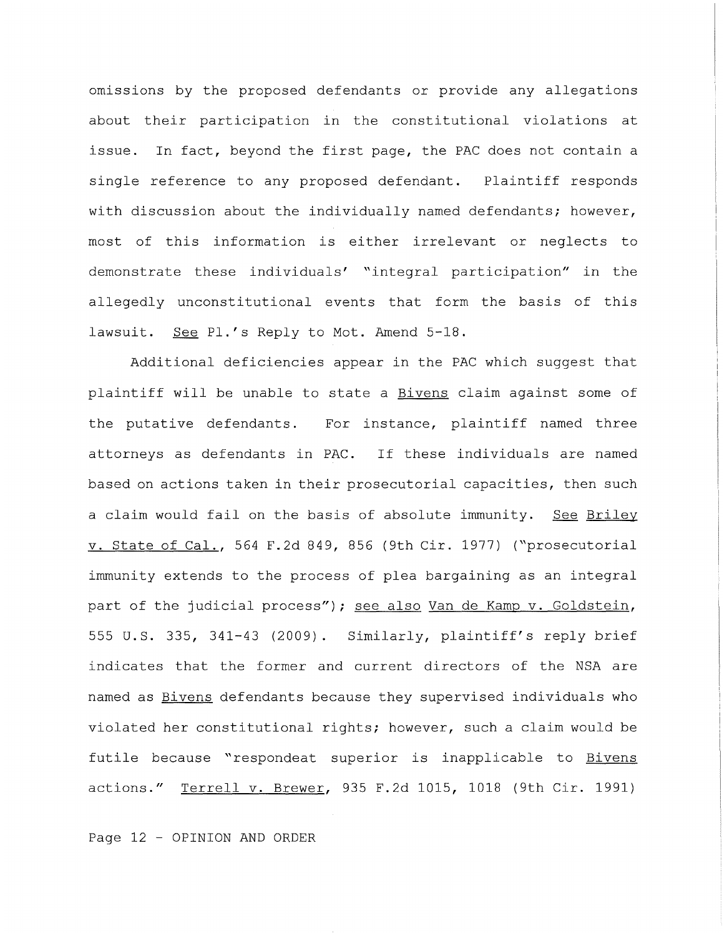omissions by the proposed defendants or provide any allegations about their participation in the constitutional violations at issue. In fact, beyond the first page, the PAC does not contain a single reference to any proposed defendant. Plaintiff responds with discussion about the individually named defendants; however, most of this information is either irrelevant or neglects to demonstrate these individuals' "integral participation" in the allegedly unconstitutional events that form the basis of this lawsuit. See Pl.'s Reply to Mot. Amend 5-18.

Additional deficiencies appear in the PAC which suggest that plaintiff will be unable to state a Bivens claim against some of the putative defendants. For instance, plaintiff named three attorneys as defendants in PAC. If these individuals are named based on actions taken in their prosecutorial capacities, then such a claim would fail on the basis of absolute immunity. See Briley v. State of Cal., 564 F.2d 849, 856 (9th Cir. 1977) ("prosecutorial immunity extends to the process of plea bargaining as an integral part of the judicial process"); see also Van de Kamp v. Goldstein, <sup>555</sup>u.s. 335, 341-43 (2009). Similarly, plaintiff's reply brief indicates that the former and current directors of the NSA are named as Bivens defendants because they supervised individuals who violated her constitutional rights; however, such a claim would be futile because "respondeat superior is inapplicable to Bivens actions." Terrell v. Brewer, 935 F.2d 1015, 1018 (9th Cir. 1991)

Page 12 - OPINION AND ORDER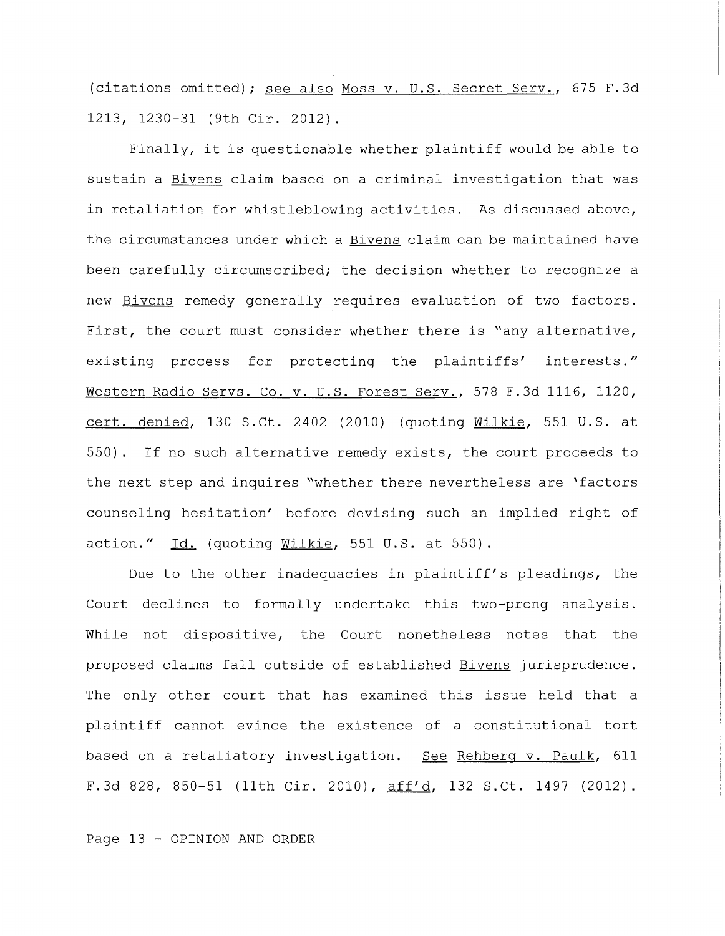(citations omitted); see also Moss v. U.S. Secret Serv., 675 F.3d 1213, 1230-31 (9th Cir. 2012).

Finally, it is questionable whether plaintiff would be able to sustain a Bivens claim based on a criminal investigation that was in retaliation for whistleblowing activities. As discussed above, the circumstances under which a **Bivens** claim can be maintained have been carefully circumscribed; the decision whether to recognize a new Bivens remedy generally requires evaluation of two factors. First, the court must consider whether there is "any alternative, existing process for protecting the plaintiffs' interests." Western Radio Servs. Co. v. U.S. Forest Serv., 578 F.3d 1116, 1120, cert. denied, 130 S.Ct. 2402 (2010) (quoting Wilkie, 551 U.S. at 550). If no such alternative remedy exists, the court proceeds to the next step and inquires "whether there nevertheless are 'factors counseling hesitation' before devising such an implied right of action."  $Id.$  (quoting  $Willkie$ , 551 U.S. at 550).

Due to the other inadequacies in plaintiff's pleadings, the Court declines to formally undertake this two-prong analysis. While not dispositive, the Court nonetheless notes that the proposed claims fall outside of established Bivens jurisprudence. The only other court that has examined this issue held that a plaintiff cannot evince the existence of a constitutional tort based on a retaliatory investigation. See Rehberg v. Paulk, 611 F.3d 828, 850-51 (11th Cir. 2010), aff'd, 132 S.Ct. 1497 (2012).

Page 13 - OPINION AND ORDER